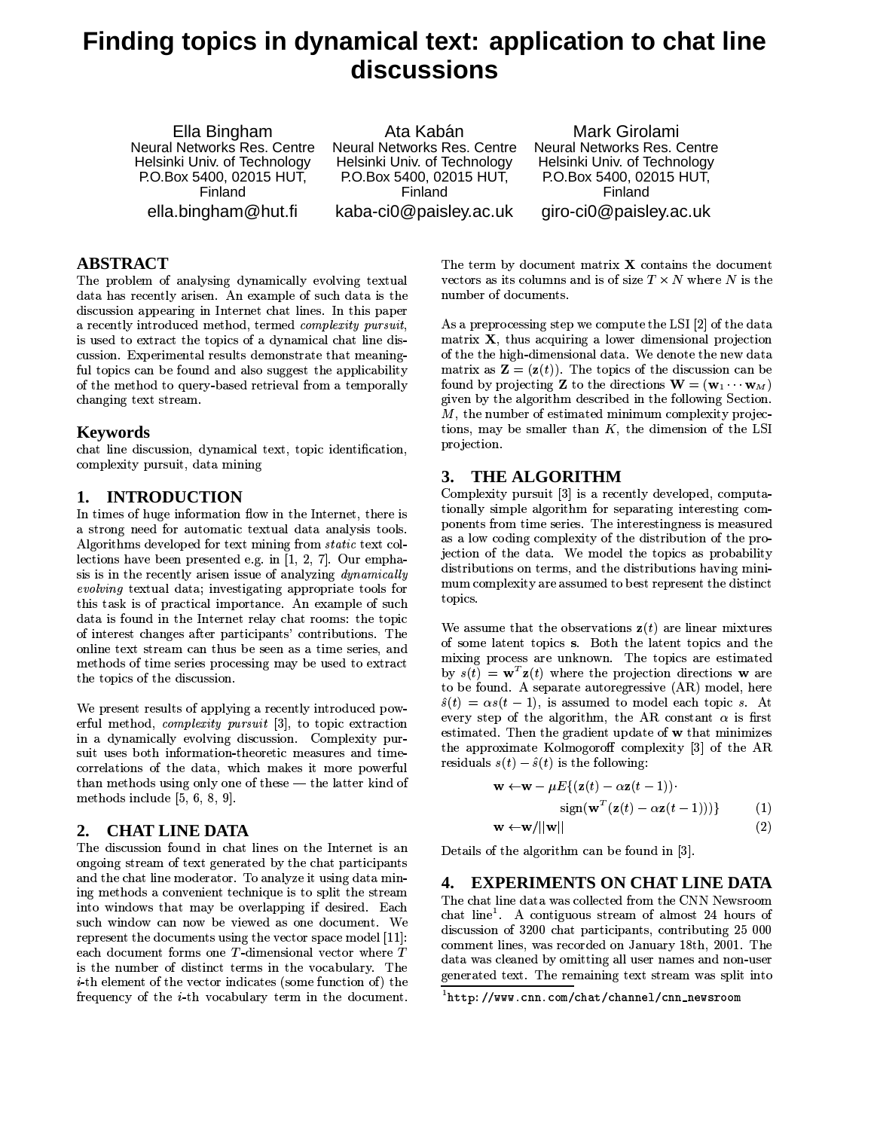# Finding topics in dynamical text: application to chat line discussions

Ella Bingham Neural Networks Res. Centre Helsinki Univ. of Technology P.O.Box 5400, 02015 HUT. Finland ella.bingham@hut.fi

Ata Kabán Neural Networks Res. Centre Helsinki Univ. of Technology P.O.Box 5400, 02015 HUT, Finland kaba-ci0@paisley.ac.uk

Mark Girolami Neural Networks Res. Centre Helsinki Univ. of Technology P.O.Box 5400, 02015 HUT, Finland giro-ci0@paisley.ac.uk

# **ABSTRACT**

The problem of analysing dynamically evolving textual data has recently arisen. An example of such data is the discussion appearing in Internet chat lines. In this paper a recently introduced method, termed complexity pursuit, is used to extract the topics of a dynamical chat line discussion. Experimental results demonstrate that meaningful topics can be found and also suggest the applicability of the method to query-based retrieval from a temporally changing text stream.

### **Keywords**

chat line discussion, dynamical text, topic identification, complexity pursuit, data mining

#### **INTRODUCTION** 1.

In times of huge information flow in the Internet, there is a strong need for automatic textual data analysis tools. Algorithms developed for text mining from *static* text collections have been presented e.g. in  $[1, 2, 7]$ . Our emphasis is in the recently arisen issue of analyzing *dynamically* evolving textual data; investigating appropriate tools for this task is of practical importance. An example of such data is found in the Internet relay chat rooms: the topic of interest changes after participants' contributions. The online text stream can thus be seen as a time series, and methods of time series processing may be used to extract the topics of the discussion.

We present results of applying a recently introduced powerful method, *complexity pursuit* [3], to topic extraction in a dynamically evolving discussion. Complexity pursuit uses both information-theoretic measures and timecorrelations of the data, which makes it more powerful than methods using only one of these - the latter kind of methods include  $[5, 6, 8, 9]$ .

#### **CHAT LINE DATA**  $2.$

The discussion found in chat lines on the Internet is an ongoing stream of text generated by the chat participants and the chat line moderator. To analyze it using data mining methods a convenient technique is to split the stream into windows that may be overlapping if desired. Each such window can now be viewed as one document. We represent the documents using the vector space model [11]: each document forms one  $T$ -dimensional vector where  $T$ is the number of distinct terms in the vocabulary. The *i*-th element of the vector indicates (some function of) the frequency of the *i*-th vocabulary term in the document.

The term by document matrix  $X$  contains the document vectors as its columns and is of size  $T \times N$  where N is the number of documents.

As a preprocessing step we compute the LSI [2] of the data matrix  $X$ , thus acquiring a lower dimensional projection of the the high-dimensional data. We denote the new data matrix as  $\mathbf{Z} = (\mathbf{z}(t))$ . The topics of the discussion can be found by projecting **Z** to the directions  $\mathbf{W} = (\mathbf{w}_1 \cdots \mathbf{w}_M)$ given by the algorithm described in the following Section.  $M$ , the number of estimated minimum complexity projections, may be smaller than  $K$ , the dimension of the LSI projection.

### 3. THE ALGORITHM

Complexity pursuit [3] is a recently developed, computationally simple algorithm for separating interesting components from time series. The interestingness is measured as a low coding complexity of the distribution of the projection of the data. We model the topics as probability distributions on terms, and the distributions having minimum complexity are assumed to best represent the distinct topics.

We assume that the observations  $z(t)$  are linear mixtures of some latent topics s. Both the latent topics and the mixing process are unknown. The topics are estimated by  $s(t) = \mathbf{w}^T \mathbf{z}(t)$  where the projection directions **w** are to be found. A separate autoregressive (AR) model, here  $\hat{s}(t) = \alpha s(t-1)$ , is assumed to model each topic s. At every step of the algorithm, the AR constant  $\alpha$  is first estimated. Then the gradient update of w that minimizes the approximate Kolmogoroff complexity [3] of the AR residuals  $s(t) - \hat{s}(t)$  is the following:

$$
\mathbf{w} \leftarrow \mathbf{w} - \mu E\{(\mathbf{z}(t) - \alpha \mathbf{z}(t-1)) \cdot \text{sign}(\mathbf{w}^T(\mathbf{z}(t) - \alpha \mathbf{z}(t-1)))\}
$$
(1)

$$
\mathbf{w}/||\mathbf{w}|| \tag{2}
$$

Details of the algorithm can be found in [3].

 $\mathbf{w} \leftarrow$ 

# 4. EXPERIMENTS ON CHAT LINE DATA

The chat line data was collected from the CNN Newsroom chat  $line<sup>1</sup>$ . A contiguous stream of almost 24 hours of discussion of 3200 chat participants, contributing 25 000 comment lines, was recorded on January 18th, 2001. The data was cleaned by omitting all user names and non-user generated text. The remaining text stream was split into

 $1$ http://www.cnn.com/chat/channel/cnn\_newsroom